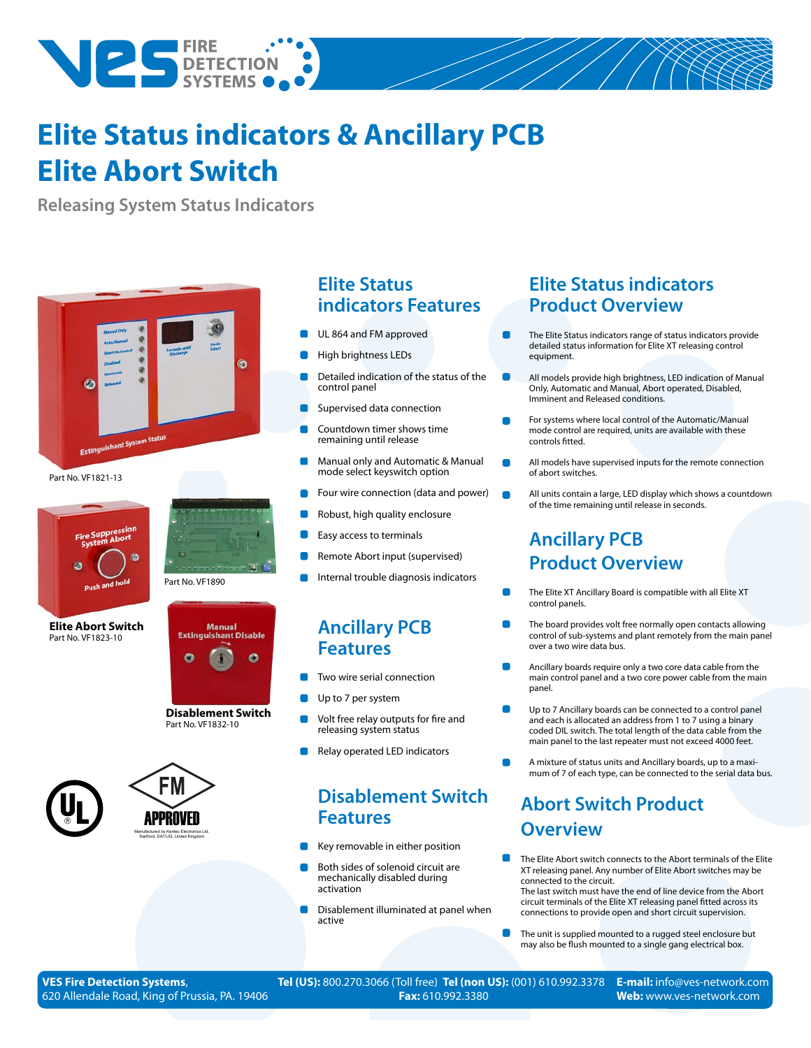

## **Elite Status indicators & Ancillary PCB Elite Abort Switch**

**Releasing System Status Indicators**



Part No. VF1821-13



**Elite Abort Switch**  Part No. VF1823-10





**Disablement Switch**  Part No. VF1832-10





### **Elite Status indicators Features**

- UL 864 and FM approved
- High brightness LEDs
- Detailed indication of the status of the control panel
- Supervised data connection
- Countdown timer shows time remaining until release
- Manual only and Automatic & Manual mode select keyswitch option
- Four wire connection (data and power)
- Robust, high quality enclosure
- Easy access to terminals
- Remote Abort input (supervised)
- Internal trouble diagnosis indicators

### **Ancillary PCB Features**

- Two wire serial connection
- Up to 7 per system
- Volt free relay outputs for fire and releasing system status
- Relay operated LED indicators

### **Disablement Switch Features**

- Key removable in either position
- Both sides of solenoid circuit are mechanically disabled during activation
- Disablement illuminated at panel when active

### **Elite Status indicators Product Overview**

- The Elite Status indicators range of status indicators provide detailed status information for Elite XT releasing control equipment.
- All models provide high brightness, LED indication of Manual Only, Automatic and Manual, Abort operated, Disabled, Imminent and Released conditions.
- For systems where local control of the Automatic/Manual mode control are required, units are available with these controls fitted.
- All models have supervised inputs for the remote connection of abort switches.
- All units contain a large, LED display which shows a countdown of the time remaining until release in seconds.

### **Ancillary PCB Product Overview**

- The Elite XT Ancillary Board is compatible with all Elite XT control panels.
- The board provides volt free normally open contacts allowing control of sub-systems and plant remotely from the main panel over a two wire data bus.
- Ancillary boards require only a two core data cable from the main control panel and a two core power cable from the main panel.
- Up to 7 Ancillary boards can be connected to a control panel and each is allocated an address from 1 to 7 using a binary coded DIL switch. The total length of the data cable from the main panel to the last repeater must not exceed 4000 feet.
- A mixture of status units and Ancillary boards, up to a maximum of 7 of each type, can be connected to the serial data bus.

### **Abort Switch Product Overview**

The Elite Abort switch connects to the Abort terminals of the Elite XT releasing panel. Any number of Elite Abort switches may be connected to the circuit.

The last switch must have the end of line device from the Abort circuit terminals of the Elite XT releasing panel fitted across its connections to provide open and short circuit supervision.

The unit is supplied mounted to a rugged steel enclosure but may also be flush mounted to a single gang electrical box.

**VES Fire Detection Systems**, 620 Allendale Road, King of Prussia, PA. 19406 **Tel (US):** 800.270.3066 (Toll free) **Tel (non US):** (001) 610.992.3378 **Fax:** 610.992.3380

**E-mail:** info@ves-network.com **Web:** www.ves-network.com